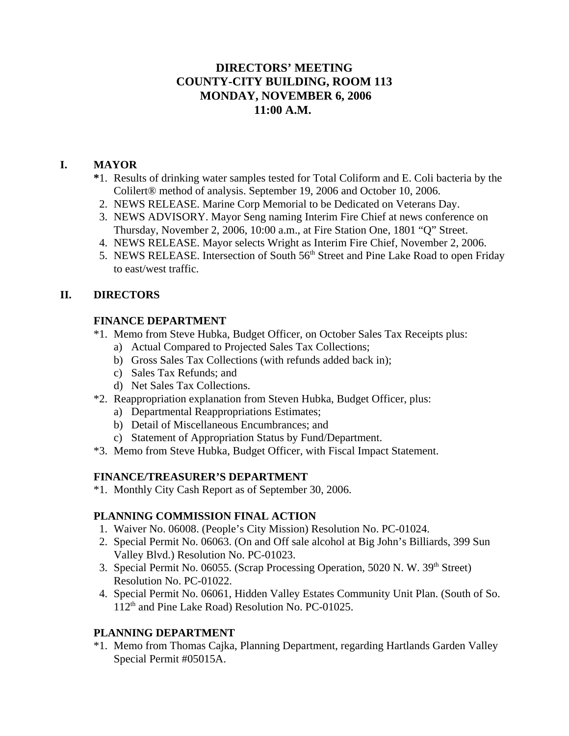# **DIRECTORS' MEETING COUNTY-CITY BUILDING, ROOM 113 MONDAY, NOVEMBER 6, 2006 11:00 A.M.**

## **I. MAYOR**

- **\***1. Results of drinking water samples tested for Total Coliform and E. Coli bacteria by the Colilert® method of analysis. September 19, 2006 and October 10, 2006.
- 2. NEWS RELEASE. Marine Corp Memorial to be Dedicated on Veterans Day.
- 3. NEWS ADVISORY. Mayor Seng naming Interim Fire Chief at news conference on Thursday, November 2, 2006, 10:00 a.m., at Fire Station One, 1801 "Q" Street.
- 4. NEWS RELEASE. Mayor selects Wright as Interim Fire Chief, November 2, 2006.
- 5. NEWS RELEASE. Intersection of South 56<sup>th</sup> Street and Pine Lake Road to open Friday to east/west traffic.

## **II. DIRECTORS**

## **FINANCE DEPARTMENT**

- \*1. Memo from Steve Hubka, Budget Officer, on October Sales Tax Receipts plus:
	- a) Actual Compared to Projected Sales Tax Collections;
	- b) Gross Sales Tax Collections (with refunds added back in);
	- c) Sales Tax Refunds; and
	- d) Net Sales Tax Collections.
- \*2. Reappropriation explanation from Steven Hubka, Budget Officer, plus:
	- a) Departmental Reappropriations Estimates;
	- b) Detail of Miscellaneous Encumbrances; and
	- c) Statement of Appropriation Status by Fund/Department.
- \*3. Memo from Steve Hubka, Budget Officer, with Fiscal Impact Statement.

## **FINANCE/TREASURER'S DEPARTMENT**

\*1. Monthly City Cash Report as of September 30, 2006.

## **PLANNING COMMISSION FINAL ACTION**

- 1. Waiver No. 06008. (People's City Mission) Resolution No. PC-01024.
- 2. Special Permit No. 06063. (On and Off sale alcohol at Big John's Billiards, 399 Sun Valley Blvd.) Resolution No. PC-01023.
- 3. Special Permit No. 06055. (Scrap Processing Operation, 5020 N. W. 39<sup>th</sup> Street) Resolution No. PC-01022.
- 4. Special Permit No. 06061, Hidden Valley Estates Community Unit Plan. (South of So. 112<sup>th</sup> and Pine Lake Road) Resolution No. PC-01025.

## **PLANNING DEPARTMENT**

\*1. Memo from Thomas Cajka, Planning Department, regarding Hartlands Garden Valley Special Permit #05015A.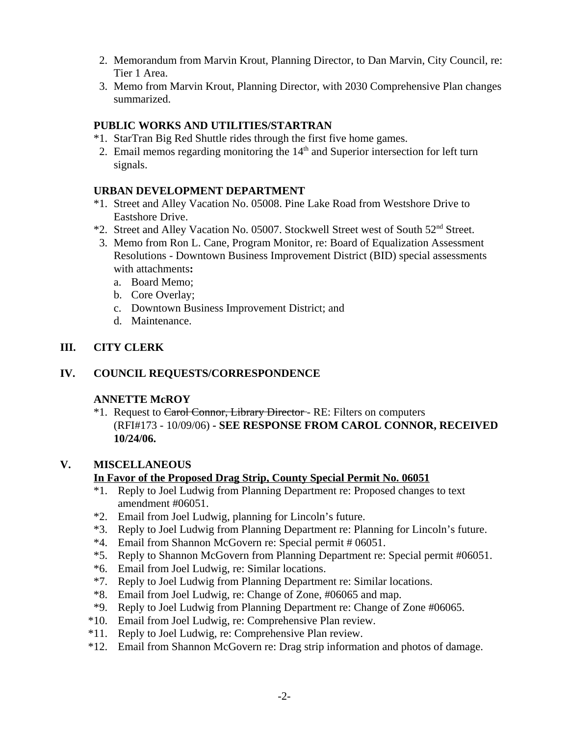- 2. Memorandum from Marvin Krout, Planning Director, to Dan Marvin, City Council, re: Tier 1 Area.
- 3. Memo from Marvin Krout, Planning Director, with 2030 Comprehensive Plan changes summarized.

## **PUBLIC WORKS AND UTILITIES/STARTRAN**

- \*1. StarTran Big Red Shuttle rides through the first five home games.
- 2. Email memos regarding monitoring the  $14<sup>th</sup>$  and Superior intersection for left turn signals.

## **URBAN DEVELOPMENT DEPARTMENT**

- \*1. Street and Alley Vacation No. 05008. Pine Lake Road from Westshore Drive to Eastshore Drive.
- \*2. Street and Alley Vacation No. 05007. Stockwell Street west of South 52nd Street.
- 3. Memo from Ron L. Cane, Program Monitor, re: Board of Equalization Assessment Resolutions - Downtown Business Improvement District (BID) special assessments with attachments**:**
	- a. Board Memo;
	- b. Core Overlay;
	- c. Downtown Business Improvement District; and
	- d. Maintenance.

## **III. CITY CLERK**

## **IV. COUNCIL REQUESTS/CORRESPONDENCE**

## **ANNETTE McROY**

<sup>\*1</sup>. Request to Carol Connor, Library Director - RE: Filters on computers (RFI#173 - 10/09/06) **- SEE RESPONSE FROM CAROL CONNOR, RECEIVED 10/24/06.**

## **V. MISCELLANEOUS**

## **In Favor of the Proposed Drag Strip, County Special Permit No. 06051**

- \*1. Reply to Joel Ludwig from Planning Department re: Proposed changes to text amendment #06051.
- \*2. Email from Joel Ludwig, planning for Lincoln's future.
- \*3. Reply to Joel Ludwig from Planning Department re: Planning for Lincoln's future.
- \*4. Email from Shannon McGovern re: Special permit # 06051.
- \*5. Reply to Shannon McGovern from Planning Department re: Special permit #06051.
- \*6. Email from Joel Ludwig, re: Similar locations.
- \*7. Reply to Joel Ludwig from Planning Department re: Similar locations.
- \*8. Email from Joel Ludwig, re: Change of Zone, #06065 and map.
- \*9. Reply to Joel Ludwig from Planning Department re: Change of Zone #06065.
- \*10. Email from Joel Ludwig, re: Comprehensive Plan review.
- \*11. Reply to Joel Ludwig, re: Comprehensive Plan review.
- \*12. Email from Shannon McGovern re: Drag strip information and photos of damage.